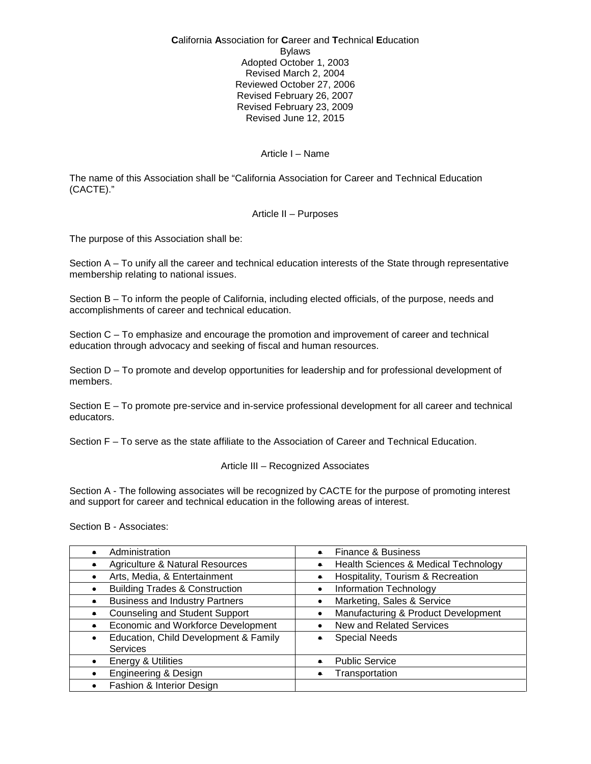**C**alifornia **A**ssociation for **C**areer and **T**echnical **E**ducation Bylaws Adopted October 1, 2003 Revised March 2, 2004 Reviewed October 27, 2006 Revised February 26, 2007 Revised February 23, 2009 Revised June 12, 2015

## Article I – Name

The name of this Association shall be "California Association for Career and Technical Education (CACTE)."

### Article II – Purposes

The purpose of this Association shall be:

Section A – To unify all the career and technical education interests of the State through representative membership relating to national issues.

Section B – To inform the people of California, including elected officials, of the purpose, needs and accomplishments of career and technical education.

Section C – To emphasize and encourage the promotion and improvement of career and technical education through advocacy and seeking of fiscal and human resources.

Section D – To promote and develop opportunities for leadership and for professional development of members.

Section E – To promote pre-service and in-service professional development for all career and technical educators.

Section F – To serve as the state affiliate to the Association of Career and Technical Education.

### Article III – Recognized Associates

Section A - The following associates will be recognized by CACTE for the purpose of promoting interest and support for career and technical education in the following areas of interest.

Section B - Associates:

| Administration                             | <b>Finance &amp; Business</b>        |
|--------------------------------------------|--------------------------------------|
| <b>Agriculture &amp; Natural Resources</b> | Health Sciences & Medical Technology |
| Arts, Media, & Entertainment               | Hospitality, Tourism & Recreation    |
| <b>Building Trades &amp; Construction</b>  | Information Technology               |
| <b>Business and Industry Partners</b>      | Marketing, Sales & Service           |
| <b>Counseling and Student Support</b>      | Manufacturing & Product Development  |
| Economic and Workforce Development         | New and Related Services             |
| Education, Child Development & Family      | <b>Special Needs</b>                 |
| <b>Services</b>                            |                                      |
| Energy & Utilities                         | <b>Public Service</b>                |
| Engineering & Design                       | Transportation                       |
| Fashion & Interior Design                  |                                      |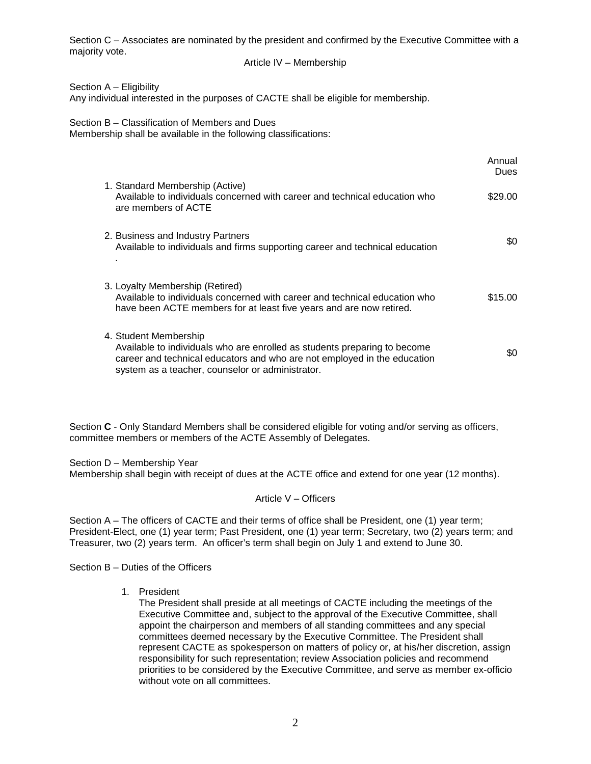Section C – Associates are nominated by the president and confirmed by the Executive Committee with a majority vote.

## Article IV – Membership

Section A – Eligibility

Any individual interested in the purposes of CACTE shall be eligible for membership.

Section B – Classification of Members and Dues

Membership shall be available in the following classifications:

|                                                                                                                                                                                                                                    | Annual<br><b>Dues</b> |
|------------------------------------------------------------------------------------------------------------------------------------------------------------------------------------------------------------------------------------|-----------------------|
| 1. Standard Membership (Active)<br>Available to individuals concerned with career and technical education who<br>are members of ACTE                                                                                               | \$29.00               |
| 2. Business and Industry Partners<br>Available to individuals and firms supporting career and technical education                                                                                                                  | SO.                   |
| 3. Loyalty Membership (Retired)<br>Available to individuals concerned with career and technical education who<br>have been ACTE members for at least five years and are now retired.                                               | \$15.00               |
| 4. Student Membership<br>Available to individuals who are enrolled as students preparing to become<br>career and technical educators and who are not employed in the education<br>system as a teacher, counselor or administrator. | \$0                   |

Section **C** - Only Standard Members shall be considered eligible for voting and/or serving as officers, committee members or members of the ACTE Assembly of Delegates.

Section D – Membership Year Membership shall begin with receipt of dues at the ACTE office and extend for one year (12 months).

Article V – Officers

Section A – The officers of CACTE and their terms of office shall be President, one (1) year term; President-Elect, one (1) year term; Past President, one (1) year term; Secretary, two (2) years term; and Treasurer, two (2) years term. An officer's term shall begin on July 1 and extend to June 30.

Section B – Duties of the Officers

1. President

The President shall preside at all meetings of CACTE including the meetings of the Executive Committee and, subject to the approval of the Executive Committee, shall appoint the chairperson and members of all standing committees and any special committees deemed necessary by the Executive Committee. The President shall represent CACTE as spokesperson on matters of policy or, at his/her discretion, assign responsibility for such representation; review Association policies and recommend priorities to be considered by the Executive Committee, and serve as member ex-officio without vote on all committees.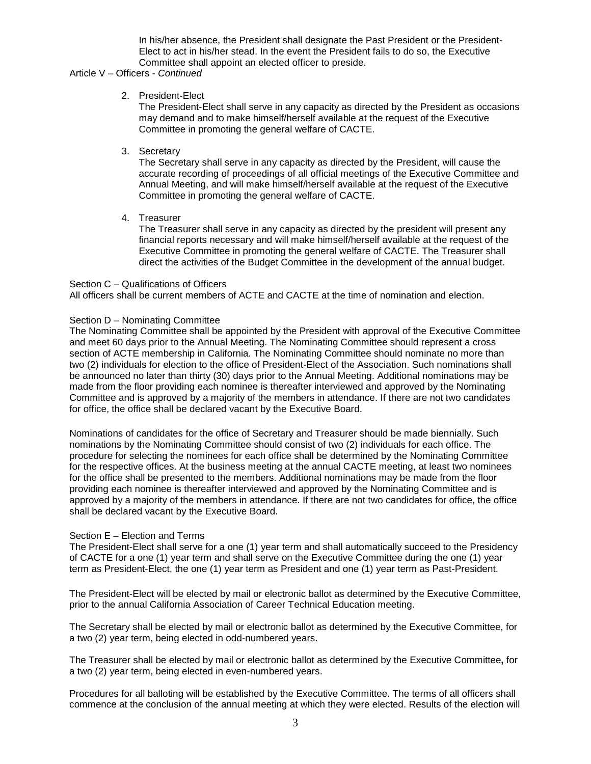In his/her absence, the President shall designate the Past President or the President-Elect to act in his/her stead. In the event the President fails to do so, the Executive Committee shall appoint an elected officer to preside.

#### Article V – Officers - *Continued*

## 2. President-Elect

The President-Elect shall serve in any capacity as directed by the President as occasions may demand and to make himself/herself available at the request of the Executive Committee in promoting the general welfare of CACTE.

3. Secretary

The Secretary shall serve in any capacity as directed by the President, will cause the accurate recording of proceedings of all official meetings of the Executive Committee and Annual Meeting, and will make himself/herself available at the request of the Executive Committee in promoting the general welfare of CACTE.

4. Treasurer

The Treasurer shall serve in any capacity as directed by the president will present any financial reports necessary and will make himself/herself available at the request of the Executive Committee in promoting the general welfare of CACTE. The Treasurer shall direct the activities of the Budget Committee in the development of the annual budget.

### Section C – Qualifications of Officers

All officers shall be current members of ACTE and CACTE at the time of nomination and election.

### Section D – Nominating Committee

The Nominating Committee shall be appointed by the President with approval of the Executive Committee and meet 60 days prior to the Annual Meeting. The Nominating Committee should represent a cross section of ACTE membership in California. The Nominating Committee should nominate no more than two (2) individuals for election to the office of President-Elect of the Association. Such nominations shall be announced no later than thirty (30) days prior to the Annual Meeting. Additional nominations may be made from the floor providing each nominee is thereafter interviewed and approved by the Nominating Committee and is approved by a majority of the members in attendance. If there are not two candidates for office, the office shall be declared vacant by the Executive Board.

Nominations of candidates for the office of Secretary and Treasurer should be made biennially. Such nominations by the Nominating Committee should consist of two (2) individuals for each office. The procedure for selecting the nominees for each office shall be determined by the Nominating Committee for the respective offices. At the business meeting at the annual CACTE meeting, at least two nominees for the office shall be presented to the members. Additional nominations may be made from the floor providing each nominee is thereafter interviewed and approved by the Nominating Committee and is approved by a majority of the members in attendance. If there are not two candidates for office, the office shall be declared vacant by the Executive Board.

### Section E – Election and Terms

The President-Elect shall serve for a one (1) year term and shall automatically succeed to the Presidency of CACTE for a one (1) year term and shall serve on the Executive Committee during the one (1) year term as President-Elect, the one (1) year term as President and one (1) year term as Past-President.

The President-Elect will be elected by mail or electronic ballot as determined by the Executive Committee, prior to the annual California Association of Career Technical Education meeting.

The Secretary shall be elected by mail or electronic ballot as determined by the Executive Committee, for a two (2) year term, being elected in odd-numbered years.

The Treasurer shall be elected by mail or electronic ballot as determined by the Executive Committee**,** for a two (2) year term, being elected in even-numbered years.

Procedures for all balloting will be established by the Executive Committee. The terms of all officers shall commence at the conclusion of the annual meeting at which they were elected. Results of the election will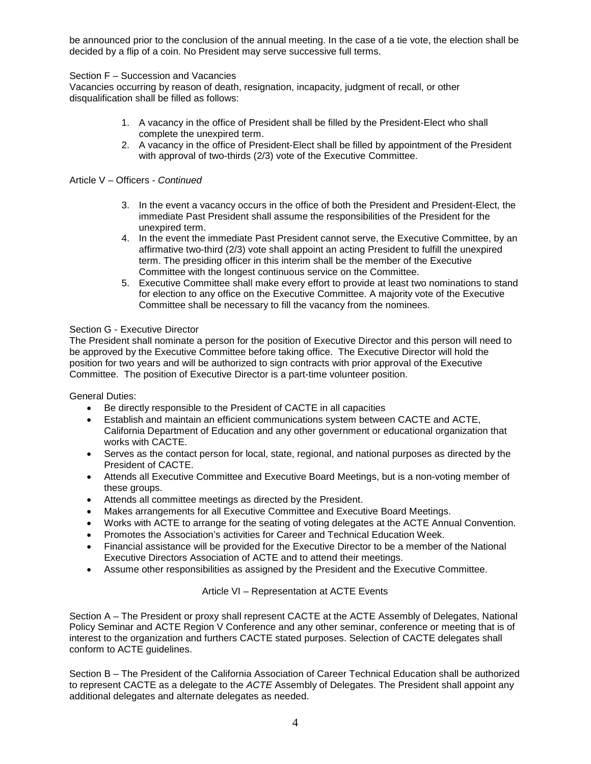be announced prior to the conclusion of the annual meeting. In the case of a tie vote, the election shall be decided by a flip of a coin. No President may serve successive full terms.

# Section F – Succession and Vacancies

Vacancies occurring by reason of death, resignation, incapacity, judgment of recall, or other disqualification shall be filled as follows:

- 1. A vacancy in the office of President shall be filled by the President-Elect who shall complete the unexpired term.
- 2. A vacancy in the office of President-Elect shall be filled by appointment of the President with approval of two-thirds (2/3) vote of the Executive Committee.

## Article V – Officers - *Continued*

- 3. In the event a vacancy occurs in the office of both the President and President-Elect, the immediate Past President shall assume the responsibilities of the President for the unexpired term.
- 4. In the event the immediate Past President cannot serve, the Executive Committee, by an affirmative two-third (2/3) vote shall appoint an acting President to fulfill the unexpired term. The presiding officer in this interim shall be the member of the Executive Committee with the longest continuous service on the Committee.
- 5. Executive Committee shall make every effort to provide at least two nominations to stand for election to any office on the Executive Committee. A majority vote of the Executive Committee shall be necessary to fill the vacancy from the nominees.

## Section G - Executive Director

The President shall nominate a person for the position of Executive Director and this person will need to be approved by the Executive Committee before taking office. The Executive Director will hold the position for two years and will be authorized to sign contracts with prior approval of the Executive Committee. The position of Executive Director is a part-time volunteer position.

General Duties:

- Be directly responsible to the President of CACTE in all capacities
- Establish and maintain an efficient communications system between CACTE and ACTE, California Department of Education and any other government or educational organization that works with CACTE.
- Serves as the contact person for local, state, regional, and national purposes as directed by the President of CACTE.
- Attends all Executive Committee and Executive Board Meetings, but is a non-voting member of these groups.
- Attends all committee meetings as directed by the President.
- Makes arrangements for all Executive Committee and Executive Board Meetings.
- Works with ACTE to arrange for the seating of voting delegates at the ACTE Annual Convention.
- Promotes the Association's activities for Career and Technical Education Week.
- Financial assistance will be provided for the Executive Director to be a member of the National Executive Directors Association of ACTE and to attend their meetings.
- Assume other responsibilities as assigned by the President and the Executive Committee.

### Article VI – Representation at ACTE Events

Section A – The President or proxy shall represent CACTE at the ACTE Assembly of Delegates, National Policy Seminar and ACTE Region V Conference and any other seminar, conference or meeting that is of interest to the organization and furthers CACTE stated purposes. Selection of CACTE delegates shall conform to ACTE guidelines.

Section B – The President of the California Association of Career Technical Education shall be authorized to represent CACTE as a delegate to the *ACTE* Assembly of Delegates. The President shall appoint any additional delegates and alternate delegates as needed.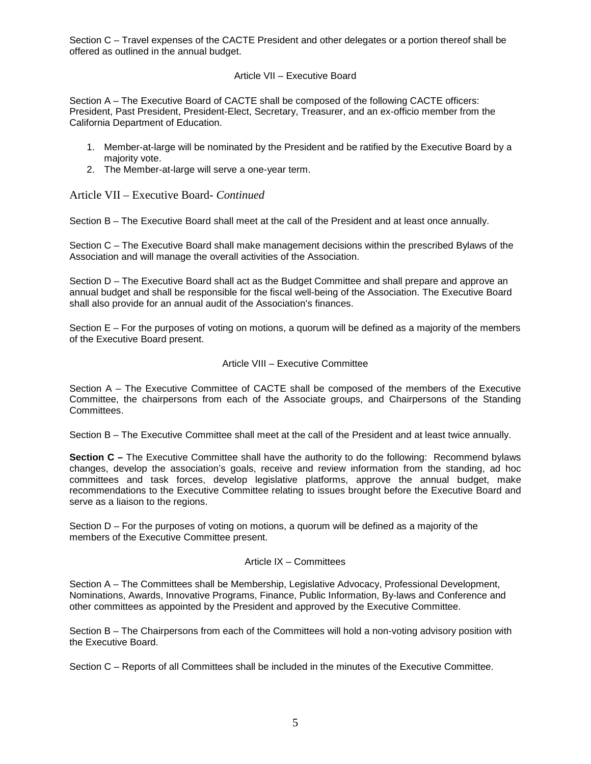Section C – Travel expenses of the CACTE President and other delegates or a portion thereof shall be offered as outlined in the annual budget.

# Article VII – Executive Board

Section A – The Executive Board of CACTE shall be composed of the following CACTE officers: President, Past President, President-Elect, Secretary, Treasurer, and an ex-officio member from the California Department of Education.

- 1. Member-at-large will be nominated by the President and be ratified by the Executive Board by a majority vote.
- 2. The Member-at-large will serve a one-year term.

Article VII – Executive Board- *Continued*

Section B – The Executive Board shall meet at the call of the President and at least once annually.

Section C – The Executive Board shall make management decisions within the prescribed Bylaws of the Association and will manage the overall activities of the Association.

Section D – The Executive Board shall act as the Budget Committee and shall prepare and approve an annual budget and shall be responsible for the fiscal well-being of the Association. The Executive Board shall also provide for an annual audit of the Association's finances.

Section E – For the purposes of voting on motions, a quorum will be defined as a majority of the members of the Executive Board present.

### Article VIII – Executive Committee

Section A – The Executive Committee of CACTE shall be composed of the members of the Executive Committee, the chairpersons from each of the Associate groups, and Chairpersons of the Standing Committees.

Section B – The Executive Committee shall meet at the call of the President and at least twice annually.

**Section C –** The Executive Committee shall have the authority to do the following: Recommend bylaws changes, develop the association's goals, receive and review information from the standing, ad hoc committees and task forces, develop legislative platforms, approve the annual budget, make recommendations to the Executive Committee relating to issues brought before the Executive Board and serve as a liaison to the regions.

Section D – For the purposes of voting on motions, a quorum will be defined as a majority of the members of the Executive Committee present.

### Article IX – Committees

Section A – The Committees shall be Membership, Legislative Advocacy, Professional Development, Nominations, Awards, Innovative Programs, Finance, Public Information, By-laws and Conference and other committees as appointed by the President and approved by the Executive Committee.

Section B – The Chairpersons from each of the Committees will hold a non-voting advisory position with the Executive Board.

Section C – Reports of all Committees shall be included in the minutes of the Executive Committee.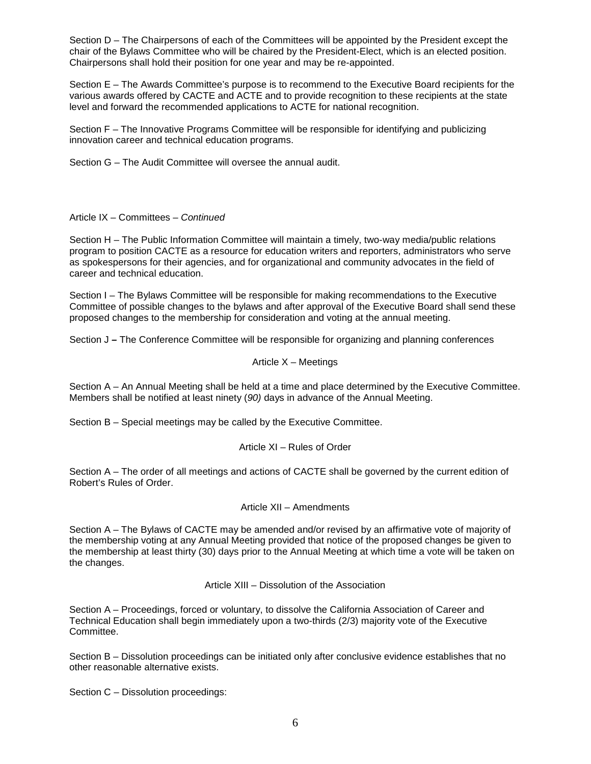Section D – The Chairpersons of each of the Committees will be appointed by the President except the chair of the Bylaws Committee who will be chaired by the President-Elect, which is an elected position. Chairpersons shall hold their position for one year and may be re-appointed.

Section E – The Awards Committee's purpose is to recommend to the Executive Board recipients for the various awards offered by CACTE and ACTE and to provide recognition to these recipients at the state level and forward the recommended applications to ACTE for national recognition.

Section F – The Innovative Programs Committee will be responsible for identifying and publicizing innovation career and technical education programs.

Section G – The Audit Committee will oversee the annual audit.

Article IX – Committees – *Continued*

Section H – The Public Information Committee will maintain a timely, two-way media/public relations program to position CACTE as a resource for education writers and reporters, administrators who serve as spokespersons for their agencies, and for organizational and community advocates in the field of career and technical education.

Section I – The Bylaws Committee will be responsible for making recommendations to the Executive Committee of possible changes to the bylaws and after approval of the Executive Board shall send these proposed changes to the membership for consideration and voting at the annual meeting.

Section J *–* The Conference Committee will be responsible for organizing and planning conferences

Article 
$$
X -
$$
 Meeting

Section A – An Annual Meeting shall be held at a time and place determined by the Executive Committee. Members shall be notified at least ninety (*90)* days in advance of the Annual Meeting.

Section B – Special meetings may be called by the Executive Committee.

### Article XI – Rules of Order

Section A – The order of all meetings and actions of CACTE shall be governed by the current edition of Robert's Rules of Order.

### Article XII – Amendments

Section A – The Bylaws of CACTE may be amended and/or revised by an affirmative vote of majority of the membership voting at any Annual Meeting provided that notice of the proposed changes be given to the membership at least thirty (30) days prior to the Annual Meeting at which time a vote will be taken on the changes.

# Article XIII – Dissolution of the Association

Section A – Proceedings, forced or voluntary, to dissolve the California Association of Career and Technical Education shall begin immediately upon a two-thirds (2/3) majority vote of the Executive Committee.

Section B – Dissolution proceedings can be initiated only after conclusive evidence establishes that no other reasonable alternative exists.

Section C – Dissolution proceedings: